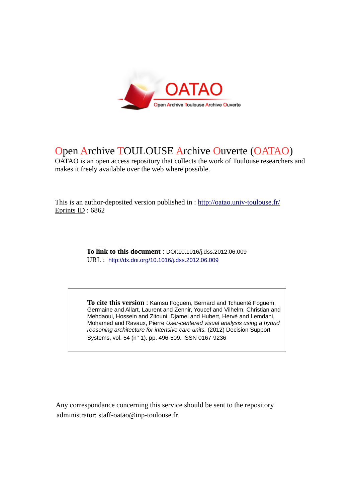

# Open Archive TOULOUSE Archive Ouverte (OATAO)

OATAO is an open access repository that collects the work of Toulouse researchers and makes it freely available over the web where possible.

This is an author-deposited version published in : http://oatao.univ-toulouse.fr/ Eprints ID : 6862

> **To link to this document** : DOI:10.1016/j.dss.2012.06.009 URL : http://dx.doi.org/10.1016/j.dss.2012.06.009

**To cite this version** : Kamsu Foguem, Bernard and Tchuenté Foguem, Germaine and Allart, Laurent and Zennir, Youcef and Vilhelm, Christian and Mehdaoui, Hossein and Zitouni, Djamel and Hubert, Hervé and Lemdani, Mohamed and Ravaux, Pierre *User-centered visual analysis using a hybrid reasoning architecture for intensive care units.* (2012) Decision Support Systems, vol. 54 (n° 1). pp. 496-509. ISSN 0167-9236

Any correspondance concerning this service should be sent to the repository administrator: staff-oatao@inp-toulouse.fr.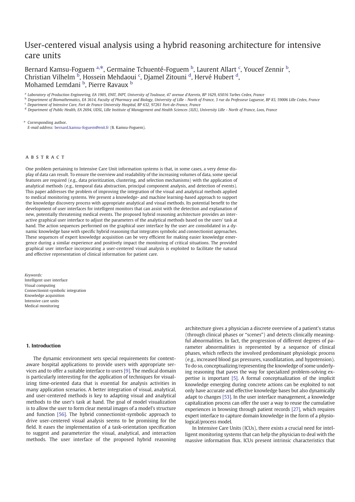# User-centered visual analysis using a hybrid reasoning architecture for intensive care units

Bernard Kamsu-Foguem <sup>a,\*</sup>, Germaine Tchuenté-Foguem <sup>b</sup>, Laurent Allart <sup>c</sup>, Youcef Zennir <sup>b</sup>, Christian Vilhelm <sup>b</sup>, Hossein Mehdaoui<sup>c</sup>, Djamel Zitouni<sup>d</sup>, Hervé Hubert<sup>d</sup>, Mohamed Lemdani <sup>b</sup>, Pierre Ravaux <sup>b</sup>

a *Laboratory of Production Engineering, EA 1905, ENIT, INPT, University of Toulouse, 47 avenue d'Azereix, BP 1629, 65016 Tarbes Cedex, France*

<sup>b</sup> *Department of Biomathematics, EA 3614, Faculty of Pharmacy and Biology, University of Lille - North of France, 3 rue du Professeur Laguesse, BP 83, 59006 Lille Cedex, France* <sup>c</sup> *Department of Intensive Care, Fort de France University Hospital, BP 632, 97261 Fort-de-France, France*

<sup>d</sup> *Department of Public Health, EA 2694, UDSL, Lille Institute of Management and Health Sciences (ILIS), University Lille - North of France, Loos, France*

⁎ Corresponding author. *E-mail address:* bernard.kamsu-foguem@enit.fr (B. Kamsu-Foguem).

#### A B S T R A C T

One problem pertaining to Intensive Care Unit information systems is that, in some cases, a very dense display of data can result. To ensure the overview and readability of the increasing volumes of data, some special features are required (e.g., data prioritization, clustering, and selection mechanisms) with the application of analytical methods (e.g., temporal data abstraction, principal component analysis, and detection of events). This paper addresses the problem of improving the integration of the visual and analytical methods applied to medical monitoring systems. We present a knowledge- and machine learning-based approach to support the knowledge discovery process with appropriate analytical and visual methods. Its potential benefit to the development of user interfaces for intelligent monitors that can assist with the detection and explanation of new, potentially threatening medical events. The proposed hybrid reasoning architecture provides an interactive graphical user interface to adjust the parameters of the analytical methods based on the users' task at hand. The action sequences performed on the graphical user interface by the user are consolidated in a dynamic knowledge base with specific hybrid reasoning that integrates symbolic and connectionist approaches. These sequences of expert knowledge acquisition can be very efficient for making easier knowledge emergence during a similar experience and positively impact the monitoring of critical situations. The provided graphical user interface incorporating a user-centered visual analysis is exploited to facilitate the natural and effective representation of clinical information for patient care.

*Keywords:* Intelligent user interface Visual computing Connectionist-symbolic integration Knowledge acquisition Intensive care units Medical monitoring

#### 1. Introduction

The dynamic environment sets special requirements for contextaware hospital applications to provide users with appropriate services and to offer a suitable interface to users [9]. The medical domain is particularly interesting for the application of techniques for visualizing time-oriented data that is essential for analysis activities in many application scenarios. A better integration of visual, analytical, and user-centered methods is key to adapting visual and analytical methods to the user's task at hand. The goal of model visualization is to allow the user to form clear mental images of a model's structure and function [56]. The hybrid connectionist-symbolic approach to drive user-centered visual analysis seems to be promising for the field. It eases the implementation of a task-orientation specification to suggest and parameterize the visual, analytical, and interaction methods. The user interface of the proposed hybrid reasoning architecture gives a physician a discrete overview of a patient's status (through clinical phases or "scenes") and detects clinically meaningful abnormalities. In fact, the progression of different degrees of parameter abnormalities is represented by a sequence of clinical phases, which reflects the involved predominant physiologic process (e.g., increased blood gas pressures, vasodilatation, and hypotension). To do so, conceptualizing/representing the knowledge of some underlying reasoning that paves the way for specialized problem-solving expertise is important [5]. A formal conceptualization of the implicit knowledge emerging during concrete actions can be exploited to not only have accurate and effective knowledge bases but also dynamically adapt to changes [53]. In the user interface management, a knowledge capitalization process can offer the user a way to reuse the cumulative experiences in browsing through patient records [27], which requires expert interface to capture domain knowledge in the form of a physiological/process model.

In Intensive Care Units (ICUs), there exists a crucial need for intelligent monitoring systems that can help the physician to deal with the massive information flux. ICUs present intrinsic characteristics that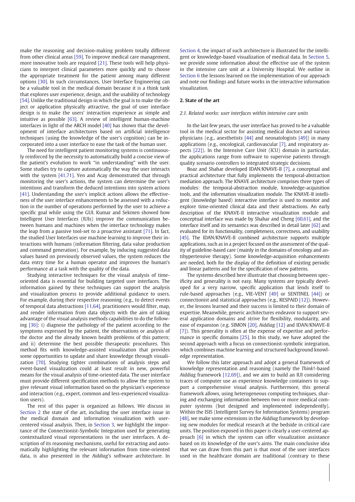make the reasoning and decision-making problem totally different from other clinical areas [59]. To improve medical care management, more innovative tools are required [21]. These tools will help physicians to interpret clinical parameters more quickly and to choose the appropriate treatment for the patient among many different options [30]. In such circumstances, User Interface Engineering can be a valuable tool in the medical domain because it is a think tank that explores user experience, design, and the usability of technology [54]. Unlike the traditional design in which the goal is to make the object or application physically attractive, the goal of user interface design is to make the users' interaction experience as simple and intuitive as possible [63]. A review of intelligent human-machine interfaces in light of the ARCH model [40] has shown that the development of interface architectures based on artificial intelligence techniques (using the knowledge of the user's cognition) can be incorporated into a user interface to ease the task of the human user.

The need for intelligent patient monitoring systems is continuously reinforced by the necessity to automatically build a concise view of the patient's evolution to work "in understanding" with the user. Some studies try to capture automatically the way the user interacts with the system [41,71]. Yen and Acay demonstrated that through monitoring the user's actions, the system can determine the user's intentions and transform the deduced intentions into system actions [41]. Understanding the user's implicit actions allows the effectiveness of the user interface enhancements to be assessed with a reduction in the number of operations performed by the user to achieve a specific goal while using the GUI. Kumar and Sekmen showed how Intelligent User Interfaces (IUIs) improve the communication between humans and machines when the interface technology makes the leap from a passive tool-set to a proactive assistant [71]. In fact, the studied User Interfaces use machine learning to improve their interactions with humans (information filtering, data value production and command generation). For example, by inducing suggested data values based on previously observed values, the system reduces the data entry time for a human operator and improves the human's performance at a task with the quality of the data.

Studying interactive techniques for the visual analysis of timeoriented data is essential for building targeted user interfaces. The information gained by these techniques can support the analysis and visualization process to provide additional guidance to users. For example, during their respective reasoning (e.g., to detect events of temporal data abstractions [11,64], practitioners would filter, map, and render information from data objects with the aim of taking advantage of the visual analysis methods capabilities to do the following [36]: i) diagnose the pathology of the patient according to the symptoms expressed by the patient, the observations or analysis of the doctor and the already known health problems of this pattern; and ii) determine the best possible therapeutic procedures. This method fits with knowledge-assisted visualization that provides some opportunities to update and share knowledge through visualization [70]. Studying tighter combinations of analysis steps and event-based visualization could at least result in new, powerful means for the visual analysis of time-oriented data. The user interface must provide different specification methods to allow the system to give relevant visual information based on the physician's experience and interaction (e.g., expert, common and less-experienced visualization users).

The rest of this paper is organized as follows. We discuss in Section 2 the state of the art, including the user interface issue in the medical domain and information visualization with usercentered visual analysis. Then, in Section 3, we highlight the importance of the Connectionist-Symbolic Integration used for generating contextualized visual representations in the user interfaces. A description of its reasoning mechanisms, useful for extracting and automatically highlighting the relevant information from time-oriented data, is also presented in the *Aiddiag*'s software architecture. In Section 4, the impact of such architecture is illustrated for the intelligent or knowledge-based visualization of medical data. In Section 5, we provide some information about the effective use of the system in the intensive care unit at a University Hospital. We outline in Section 6 the lessons learned on the implementation of our approach and note our findings and future works in the interactive information visualization.

# 2. State of the art

#### *2.1. Related works: user interfaces within intensive care units*

In the last few years, the user interface has proved to be a valuable tool in the medical sector for assisting medical doctors and various physicians (e.g., anesthetists [44] and neonatologists [49]) in many applications (e.g., oncological, cardiovascular [7], and respiratory aspects [22]). In the Intensive Care Unit (ICU) domain in particular, the applications range from software to supervise patients through quality scenario controllers to integrated strategic decisions.

Boaz and Shahar developed IDAN/KNAVE-II [7], a conceptual and practical architecture that fully implements the temporal-abstraction mediation approach. The KNAVE architecture comprises three types of modules: the temporal-abstraction module, knowledge-acquisition tools, and the information visualization module. The KNAVE-II intelligent (knowledge based) interactive interface is used to monitor and explore time-oriented clinical data and their abstractions. An early description of the KNAVE-II interactive visualization module and conceptual interface was made by Shahar and Cheng [60,61], and the interface itself and its semantics was described in detail later [62] and evaluated for its functionality, completeness, correctness, and usability [45]. The IDAN/KNAVE-II combined architecture supports multiple applications, such as in a project focused on the assessment of the quality of guideline-based care (mainly in the domains of oncology and antihypertensive therapy). Some knowledge-acquisition enhancements are needed, both for the display of the definition of existing periodic and linear patterns and for the specification of new patterns.

The systems described here illustrate that choosing between specificity and generality is not easy. Many systems are typically developed for a very narrow, specific application that lends itself to rule-based approaches (e.g., VIE-VENT [49] or SENTINEL [44]) or connectionist and statistical approaches (e.g., RESPAID [12]). However, the lessons learned and their success is limited to their domain of expertise. Meanwhile, generic architectures endeavor to support several application domains and strive for flexibility, modularity, and ease of expansion (e.g. SIMON [20], *Aiddiag* [12] and IDAN/KNAVE-II [7]). This generality is often at the expense of expertise and performance in specific domains [25]. In this study, we have adopted the second approach with a focus on connectionist-symbolic integration, which combines machine learning and structured background knowledge representation.

We follow this later approach and adopt a general framework of knowledge representation and reasoning (namely the *Think*!-based *Aiddiag* framework [12,69]), and we aim to build an IUI considering traces of computer use as experience knowledge containers to support a comprehensive visual analysis. Furthermore, this general framework allows, using heterogeneous computing techniques, sharing and exchanging information between two or more medical computer systems (but designed and implemented independently). Within the ISIS (Intelligent Survey for Information Systems) program [48], we make some extensions in the *Aiddiag* framework by developing new modules for medical research at the bedside in critical care units. The position exposed in this paper is clearly a user-centered approach [6] in which the system can offer visualization assistance based on its knowledge of the user's aims. The main conclusive idea that we can draw from this part is that most of the user interfaces used in the healthcare domain are traditional (contrary to these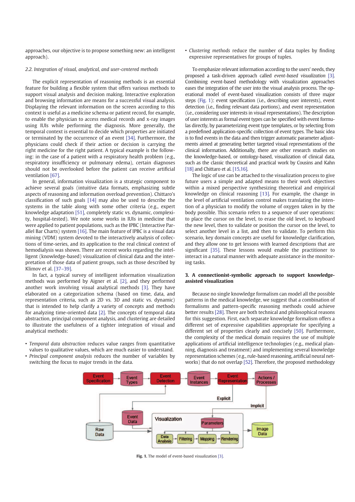approaches, our objective is to propose something new: an intelligent approach).

# *2.2. Integration of visual, analytical, and user-centered methods*

The explicit representation of reasoning methods is an essential feature for building a flexible system that offers various methods to support visual analysis and decision making. Interactive exploration and browsing information are means for a successful visual analysis. Displaying the relevant information on the screen according to this context is useful as a medicine schema or patient record, for example, to enable the physician to access medical records and x-ray images using IUIs while performing the diagnosis. More generally, the temporal context is essential to decide which properties are initiated or terminated by the occurrence of an event [34]. Furthermore, the physicians could check if their action or decision is carrying the right medicine for the right patient. A typical example is the following: in the case of a patient with a respiratory health problem (e.g., respiratory insufficiency or pulmonary edema), certain diagnoses should not be overlooked before the patient can receive artificial ventilation [67].

In general, information visualization is a strategic component to achieve several goals (intuitive data formats, emphasizing subtle aspects of reasoning and information overload prevention). Chittaro's classification of such goals [14] may also be used to describe the systems in the table along with some other criteria (e.g., expert knowledge adaptation [51], completely static vs. dynamic, complexity, hospital-tested). We note some works in IUIs in medicine that were applied to patient populations, such as the IPBC (Interactive Parallel Bar Charts) system [16]. The main feature of IPBC is a visual data mining (VDM) system devoted to the interactively analysis of collections of time-series, and its application to the real clinical context of hemodialysis was shown. There are recent works regarding the intelligent (knowledge-based) visualization of clinical data and the interpretation of those data of patient groups, such as those described by Klimov et al. [37–39].

In fact, a typical survey of intelligent information visualization methods was performed by Aigner et al. [2], and they performed another work involving visual analytical methods [3]. They have elaborated on a categorization schema (based on time, data, and representation criteria, such as 2D vs. 3D and static vs. dynamic) that is intended to help clarify a variety of concepts and methods for analyzing time-oriented data [2]. The concepts of temporal data abstraction, principal component analysis, and clustering are detailed to illustrate the usefulness of a tighter integration of visual and analytical methods:

- *Temporal data abstraction* reduces value ranges from quantitative values to qualitative values, which are much easier to understand.
- *Principal component analysis* reduces the number of variables by switching the focus to major trends in the data.

• *Clustering methods* reduce the number of data tuples by finding expressive representatives for groups of tuples.

To emphasize relevant information according to the users' needs, they proposed a task-driven approach called *event-based visualization* [3]. Combining event-based methodology with visualization approaches eases the integration of the user into the visual analysis process. The operational model of event-based visualization consists of three major steps (Fig. 1): event specification (i.e., describing user interests), event detection (i.e., finding relevant data portions), and event representation (i.e., considering user interests in visual representations). The description of user interests as formal event types can be specified with event formulas directly, by parameterizing event type templates, or by selecting from a predefined application-specific collection of event types. The basic idea is to find events in the data and then trigger automatic parameter adjustments aimed at generating better targeted visual representations of the clinical information. Additionally, there are other research studies on the knowledge-based, or ontology-based, visualization of clinical data, such as the classic theoretical and practical work by Cousins and Kahn [18] and Chittaro et al. [15,16].

The logic of use can be attached to the visualization process to give future users a simple and adapted means to their work objectives within a mixed perspective synthesizing theoretical and empirical knowledge on clinical reasoning [13]. For example, the change in the level of artificial ventilation control makes translating the intention of a physician to modify the volume of oxygen taken in by the body possible. This scenario refers to a sequence of user operations: to place the cursor on the level, to erase the old level, to keyboard the new level, then to validate or position the cursor on the level, to select another level in a list, and then to validate. To perform this scenario, key domain concepts are useful for knowledge clarification, and they allow one to get lessons with learned descriptions that are significant [35]. These lessons would enable the practitioner to interact in a natural manner with adequate assistance in the monitoring tasks.

# 3. A connectionist-symbolic approach to support knowledgeassisted visualization

Because no single knowledge formalism can model all the possible patterns in the medical knowledge, we suggest that a combination of formalisms and pattern-specific reasoning methods could achieve better results [28]. There are both technical and philosophical reasons for this suggestion. First, each separate knowledge formalism offers a different set of expressive capabilities appropriate for specifying a different set of properties clearly and concisely [50]. Furthermore, the complexity of the medical domain requires the use of multiple applications of artificial intelligence technologies (e.g., medical planning, diagnosis and treatment) and implementing several knowledge representation schemes (e.g., rule-based reasoning, artificial neural networks) that do not overlap [52]. Therefore, the proposed methodology



Fig. 1. The model of event-based visualization [3].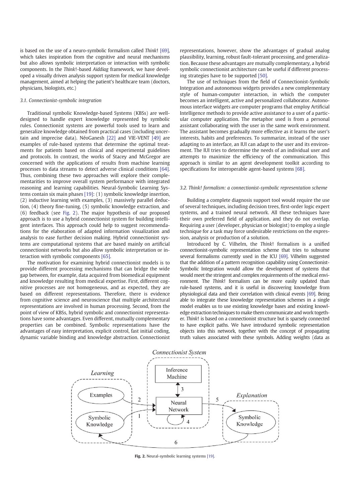is based on the use of a neuro-symbolic formalism called *Think*! [69], which takes inspiration from the cognitive and neural mechanisms but also allows symbolic interpretation or interaction with symbolic components. In the *Think*!-based *Aiddiag* framework, we have developed a visually driven analysis support system for medical knowledge management, aimed at helping the patient's healthcare team (doctors, physicians, biologists, etc.)

# *3.1. Connectionist-symbolic integration*

Traditional symbolic Knowledge-based Systems (KBSs) are welldesigned to handle expert knowledge represented by symbolic rules. Connectionist systems are powerful tools used to learn and generalize knowledge obtained from practical cases (including uncertain and imprecise data). NéoGanesh [22] and VIE-VENT [49] are examples of rule-based systems that determine the optimal treatments for patients based on clinical and experimental guidelines and protocols. In contrast, the works of Stacey and McGregor are concerned with the applications of results from machine learning processes to data streams to detect adverse clinical conditions [64]. Thus, combining these two approaches will explore their complementarities to improve overall system performance with integrated reasoning and learning capabilities. Neural-Symbolic Learning Systems contain six main phases [19]: (1) symbolic knowledge insertion, (2) inductive learning with examples, (3) massively parallel deduction, (4) theory fine-tuning, (5) symbolic knowledge extraction, and (6) feedback (see Fig. 2). The major hypothesis of our proposed approach is to use a hybrid connectionist system for building intelligent interfaces. This approach could help to suggest recommendations for the elaboration of adapted information visualization and analysis to ease further decision making. Hybrid connectionist systems are computational systems that are based mainly on artificial connectionist networks but also allow symbolic interpretation or interaction with symbolic components [65].

The motivation for examining hybrid connectionist models is to provide different processing mechanisms that can bridge the wide gap between, for example, data acquired from biomedical equipment and knowledge resulting from medical expertise. First, different cognitive processes are not homogeneous, and as expected, they are based on different representations. Therefore, there is evidence from cognitive science and neuroscience that multiple architectural representations are involved in human processing. Second, from the point of view of KBSs, hybrid symbolic and connectionist representations have some advantages. Even different, mutually complementary properties can be combined. Symbolic representations have the advantages of easy interpretation, explicit control, fast initial coding, dynamic variable binding and knowledge abstraction. Connectionist representations, however, show the advantages of gradual analog plausibility, learning, robust fault-tolerant processing, and generalization. Because these advantages are mutually complementary, a hybrid symbolic connectionist architecture can be useful if different processing strategies have to be supported [50].

The use of techniques from the field of Connectionist-Symbolic Integration and autonomous widgets provides a new complementary style of human-computer interaction, in which the computer becomes an intelligent, active and personalized collaborator. Autonomous interface widgets are computer programs that employ Artificial Intelligence methods to provide active assistance to a user of a particular computer application. The metaphor used is from a personal assistant collaborating with the user in the same work environment. The assistant becomes gradually more effective as it learns the user's interests, habits and preferences. To summarize, instead of the user adapting to an interface, an IUI can adapt to the user and its environment. The IUI tries to determine the needs of an individual user and attempts to maximize the efficiency of the communication. This approach is similar to an agent development toolkit according to specifications for interoperable agent-based systems [68].

# *3.2. Think! formalism: a connectionist-symbolic representation scheme*

Building a complete diagnosis support tool would require the use of several techniques, including decision trees, first-order logic expert systems, and a trained neural network. All these techniques have their own preferred field of application, and they do not overlap. Requiring a user (developer, physician or biologist) to employ a single technique for a task may force undesirable restrictions on the expression, analysis or production of a solution.

Introduced by C. Vilhelm, the *Think*! formalism is a unified connectionist-symbolic representation scheme that tries to subsume several formalisms currently used in the ICU [69]. Vilhelm suggested that the addition of a pattern recognition capability using Connectionist-Symbolic Integration would allow the development of systems that would meet the stringent and complex requirements of the medical environment. The *Think*! formalism can be more easily updated than rule-based systems, and it is useful in discovering knowledge from physiological data and their correlation with clinical events [69]. Being able to integrate these knowledge representation schemes in a single model enables us to use existing knowledge bases and existing knowledge extraction techniques to make them communicate and work together. *Think*! is based on a connectionist structure but is sparsely connected to have explicit paths. We have introduced symbolic representation objects into this network, together with the concept of propagating truth values associated with these symbols. Adding weights (data as



Fig. 2. Neural-symbolic learning systems [19].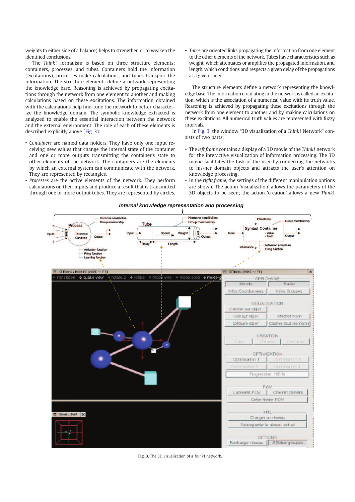weights to either side of a balance) helps to strengthen or to weaken the identified conclusions.

The *Think*! formalism is based on three structure elements: containers, processes, and tubes. Containers hold the information (excitations), processes make calculations, and tubes transport the information. The structure elements define a network representing the knowledge base. Reasoning is achieved by propagating excitations through the network from one element to another and making calculations based on these excitations. The information obtained with the calculations help fine-tune the network to better characterize the knowledge domain. The symbolic knowledge extracted is analyzed to enable the essential interaction between the network and the external environment. The role of each of these elements is described explicitly above (Fig. 3):

- *Containers* are named data holders. They have only one input receiving new values that change the internal state of the container and one or more outputs transmitting the container's state to other elements of the network. The containers are the elements by which an external system can communicate with the network. They are represented by rectangles.
- *Processes* are the active elements of the network. They perform calculations on their inputs and produce a result that is transmitted through one or more output tubes. They are represented by circles.

• *Tubes* are oriented links propagating the information from one element to the other elements of the network. Tubes have characteristics such as weight, which attenuates or amplifies the propagated information, and length, which conditions and respects a given delay of the propagations at a given speed.

The structure elements define a network representing the knowledge base. The information circulating in the network is called an excitation, which is the association of a numerical value with its truth value. Reasoning is achieved by propagating these excitations through the network from one element to another and by making calculations on these excitations. All numerical truth values are represented with fuzzy intervals.

In Fig. 3, the window "3D visualization of a *Think*! Network" consists of two parts:

- The *left frame* contains a display of a 3D movie of the *Think*! network for the interactive visualization of information processing. The 3D movie facilitates the task of the user by connecting the networks to his/her domain objects and attracts the user's attention on knowledge processing.
- In the *right frame*, the settings of the different manipulation options are shown. The action 'visualization' allows the parameters of the 3D objects to be seen; the action 'creation' allows a new *Think*!



Fig. 3. The 3D visualization of a *Think*! network.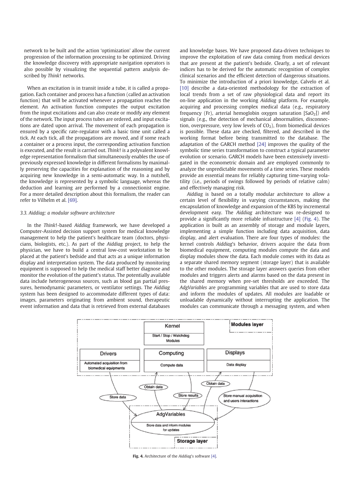network to be built and the action 'optimization' allow the current progression of the information processing to be optimized. Driving the knowledge discovery with appropriate navigation operators is also possible by visualizing the sequential pattern analysis described by *Think*! networks.

When an excitation is in transit inside a tube, it is called a propagation. Each container and process has a function (called an activation function) that will be activated whenever a propagation reaches the element. An activation function computes the output excitation from the input excitations and can also create or modify any element of the network. The input process tubes are ordered, and input excitations are dated upon arrival. The movement of each propagation is ensured by a specific rate-regulator with a basic time unit called a tick. At each tick, all the propagations are moved, and if some reach a container or a process input, the corresponding activation function is executed, and the result is carried out. *Think*! is a polyvalent knowledge representation formalism that simultaneously enables the use of previously expressed knowledge in different formalisms by maximally preserving the capacities for explanation of the reasoning and by acquiring new knowledge in a semi-automatic way. In a nutshell, the knowledge is represented by a symbolic language, whereas the deduction and learning are performed by a connectionist engine. For a more detailed description about this formalism, the reader can refer to Vilhelm et al. [69].

#### *3.3. Aiddiag: a modular software architecture*

In the *Think*!-based *Aiddiag* framework, we have developed a Computer-Assisted decision support system for medical knowledge management to help the patient's healthcare team (doctors, physicians, biologists, etc.). As part of the *Aiddiag* project, to help the physician, we have to build a central low-cost workstation to be placed at the patient's bedside and that acts as a unique information display and interpretation system. The data produced by monitoring equipment is supposed to help the medical staff better diagnose and monitor the evolution of the patient's status. The potentially available data include heterogeneous sources, such as blood gas partial pressures, hemodynamic parameters, or ventilator settings. The *Aiddiag* system has been designed to accommodate different types of data: images, parameters originating from ambient sound, therapeutic event information and data that is retrieved from external databases

and knowledge bases. We have proposed data-driven techniques to improve the exploitation of raw data coming from medical devices that are present at the patient's bedside. Clearly, a set of relevant indices has to be derived for the automatic recognition of complex clinical scenarios and the efficient detection of dangerous situations. To minimize the introduction of a priori knowledge, Calvelo et al. [10] describe a data-oriented methodology for the extraction of local trends from a set of raw physiological data and report its on-line application in the working *Aiddiag* platform. For example, acquiring and processing complex medical data (e.g., respiratory frequency (Fr), arterial hemoglobin oxygen saturation  $[SaO<sub>2</sub>]$ ) and signals (e.g., the detection of mechanical abnormalities, disconnection, overpressure, very low levels of  $CO<sub>2</sub>$ ), from biomedical devices is possible. These data are checked, filtered, and described in the working format before being transmitted to the database. The adaptation of the GARCH method [24] improves the quality of the symbolic time series transformation to construct a typical parameter evolution or scenario. GARCH models have been extensively investigated in the econometric domain and are employed commonly to analyze the unpredictable movements of a time series. These models provide an essential means for reliably capturing time-varying volatility (i.e., periods of swings followed by periods of relative calm) and effectively managing risk.

*Aiddiag* is based on a totally modular architecture to allow a certain level of flexibility in varying circumstances, making the encapsulation of knowledge and expansion of the KBS by incremental development easy. The *Aiddiag* architecture was re-designed to provide a significantly more reliable infrastructure [4] (Fig. 4). The application is built as an assembly of storage and module layers, implementing a simple function including data acquisition, data display, and alert evaluation. There are four types of modules: the kernel controls *Aiddiag*'s behavior, drivers acquire the data from biomedical equipment, computing modules compute the data and display modules show the data. Each module comes with its data as a separate shared memory segment (storage layer) that is available to the other modules. The storage layer answers queries from other modules and triggers alerts and alarms based on the data present in the shared memory when pre-set thresholds are exceeded. The *AdgVariables* are programming variables that are used to store data and inform the modules of updates. All modules are loadable or unloadable dynamically without interrupting the application. The modules can communicate through a messaging system, and when



Fig. 4. Architecture of the *Aiddiag*'s software [4].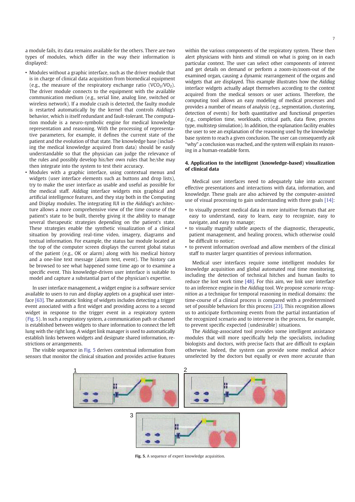a module fails, its data remains available for the others. There are two types of modules, which differ in the way their information is displayed:

- Modules without a graphic interface, such as the driver module that is in charge of clinical data acquisition from biomedical equipment (e.g., the measure of the respiratory exchange ratio ( $VCO<sub>2</sub>/VO<sub>2</sub>$ ). The driver module connects to the equipment with the available communication medium (e.g., serial line, analog line, switched or wireless network). If a module crash is detected, the faulty module is restarted automatically by the kernel that controls *Aiddiag's* behavior, which is itself redundant and fault-tolerant. The computation module is a neuro-symbolic engine for medical knowledge representation and reasoning. With the processing of representative parameters, for example, it defines the current state of the patient and the evolution of that state. The knowledge base (including the medical knowledge acquired from data) should be easily understandable so that the physician can judge the relevance of the rules and possibly develop his/her own rules that he/she may then integrate into the system to test their accuracy.
- Modules with a graphic interface, using contextual menus and widgets (user interface elements such as buttons and drop lists), try to make the user interface as usable and useful as possible for the medical staff. *Aiddiag* interface widgets mix graphical and artificial intelligence features, and they stay both in the Computing and Display modules. The integrating IUI in the *Aiddiag*'s architecture allows a more comprehensive view of the time course of the patient's state to be built, thereby giving it the ability to manage several therapeutic strategies depending on the patient's state. These strategies enable the synthetic visualization of a clinical situation by providing real-time video, imagery, diagrams and textual information. For example, the status bar module located at the top of the computer screen displays the current global status of the patient (e.g., OK or alarm) along with his medical history and a one-line text message (alarm text, event). The history can be browsed to see what happened some time ago or to examine a specific event. This knowledge-driven user interface is suitable to model and capture a substantial part of the physician's expertise.

In user interface management, a widget engine is a software service available to users to run and display applets on a graphical user interface [63]. The automatic linking of widgets includes detecting a trigger event associated with a first widget and providing access to a second widget in response to the trigger event in a respiratory system (Fig. 5). In such a respiratory system, a communication path or channel is established between widgets to share information to connect the left lung with the right lung. A widget link manager is used to automatically establish links between widgets and designate shared information, restrictions or arrangements.

The visible sequence in Fig. 5 derives contextual information from sensors that monitor the clinical situation and provides active features

within the various components of the respiratory system. These then alert physicians with hints and stimuli on what is going on in each particular context. The user can select other components of interest and get details on demand or perform a zoom-in/zoom-out of the examined organ, causing a dynamic rearrangement of the organs and widgets that are displayed. This example illustrates how the *Aiddiag* interface widgets actually adapt themselves according to the context acquired from the medical sensors or user actions. Therefore, the computing tool allows an easy modeling of medical processes and provides a number of means of analysis (e.g., segmentation, clustering, detection of events) for both quantitative and functional properties (e.g., completion time, workloads, critical path, data flow, process type, multistep simulation). In addition, the explanation facility enables the user to see an explanation of the reasoning used by the knowledge base system to reach a given conclusion. The user can consequently ask "why" a conclusion was reached, and the system will explain its reasoning in a human-readable form.

## 4. Application to the intelligent (knowledge-based) visualization of clinical data

Medical user interfaces need to adequately take into account effective presentations and interactions with data, information, and knowledge. These goals are also achieved by the computer-assisted use of visual processing to gain understanding with three goals [14]:

- to visually present medical data in more intuitive formats that are easy to understand, easy to learn, easy to recognize, easy to navigate, and easy to manage;
- to visually magnify subtle aspects of the diagnostic, therapeutic, patient management, and healing process, which otherwise could be difficult to notice;
- to prevent information overload and allow members of the clinical staff to master larger quantities of previous information.

Medical user interfaces require some intelligent modules for knowledge acquisition and global automated real time monitoring, including the detection of technical hitches and human faults to reduce the lost work time [48]. For this aim, we link user interface to an inference engine in the *Aiddiag* tool. We propose *scenario recognition* as a technique for temporal reasoning in medical domains: the time-course of a clinical process is compared with a predetermined set of possible behaviors for this process [23]. This recognition allows us to anticipate forthcoming events from the partial instantiation of the recognized scenario and to intervene in the process, for example, to prevent specific expected (undesirable) situations.

The *Aiddiag*-associated tool provides some intelligent assistance modules that will more specifically help the specialists, including biologists and doctors, with precise facts that are difficult to explain otherwise. Indeed, the system can provide some medical advice unselected by the doctors but equally or even more accurate than



Fig. 5. A sequence of expert knowledge acquisition.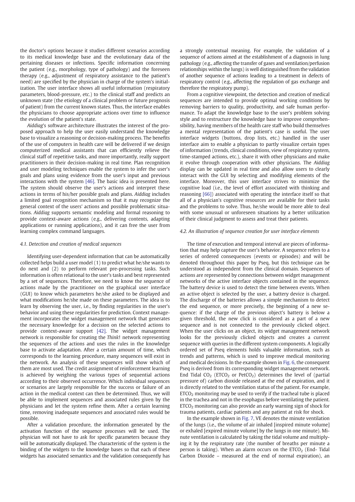the doctor's options because it studies different scenarios according to its medical knowledge base and the evolutionary data of the pertaining diseases or infections. Specific information concerning the patient (e.g., morphology, type of pathology) and the foreseen therapy (e.g., adjustment of respiratory assistance to the patient's need) are specified by the physician in charge of the system's initialization. The user interface shows all useful information (respiratory parameters, blood-pressure, etc.) to the clinical staff and predicts an unknown state (the etiology of a clinical problem or future prognosis of patient) from the current known states. Thus, the interface enables the physicians to choose appropriate actions over time to influence the evolution of the patient's state.

*Aiddiag*'s software architecture illustrates the interest of the proposed approach to help the user easily understand the knowledge base to visualize a reasoning or decision-making process. The benefits of the use of computers in health care will be delivered if we design computerized medical assistants that can efficiently relieve the clinical staff of repetitive tasks, and more importantly, really support practitioners in their decision-making in real time. Plan recognition and user modeling techniques enable the system to infer the user's goals and plans using evidence from the user's input and previous interactions with the system [46]. The basic idea is presented here. The system should observe the user's actions and interpret these actions in terms of his/her possible goals and plans. *Aiddiag* includes a limited goal recognition mechanism so that it may recognize the general context of the users' actions and possible problematic situations. *Aiddiag* supports semantic modeling and formal reasoning to provide context-aware actions (e.g., delivering contents, adapting applications or running applications), and it can free the user from learning complex command languages.

#### *4.1. Detection and creation of medical sequences*

Identifying user-dependent information that can be automatically collected helps build a user model (1) to predict what he/she wants to do next and (2) to perform relevant pre-processing tasks. Such information is often relational to the user's tasks and best represented by a set of sequences. Therefore, we need to know the sequence of actions made by the practitioner on the graphical user interface (GUI) to know which parameters he/she asked to be displayed and what modifications he/she made on these parameters. The idea is to learn by observing the user, i.e., by finding regularities in the user's behavior and using these regularities for prediction. Context management incorporates the widget management network that generates the necessary knowledge for a decision on the selected actions to provide context-aware support [42]. The widget management network is responsible for creating the *Think*! network representing the sequences of the actions and uses the rules in the knowledge base to activate adaptation. After a certain amount of time, which corresponds to the learning procedure, many sequences will exist in the network. An analysis of these sequences will show which of them are most used. The credit assignment of reinforcement learning is achieved by weighing the various types of sequential actions according to their observed occurrence. Which individual sequences or scenarios are largely responsible for the success or failure of an action in the medical context can then be determined. Thus, we will be able to implement sequences and associated rules given by the physicians and let the system refine them. After a certain learning time, removing inadequate sequences and associated rules would be possible.

After a validation procedure, the information generated by the activation function of the sequence processes will be used. The physician will not have to ask for specific parameters because they will be automatically displayed. The characteristic of the system is the binding of the widgets to the knowledge bases so that each of these widgets has associated semantics and the validation consequently has a strongly contextual meaning. For example, the validation of a sequence of actions aimed at the establishment of a diagnosis in lung pathology (e.g., affecting the transfer of gases and ventilation/perfusion relationships within the lungs) is well distinguished from the validation of another sequence of actions leading to a treatment in defects of respiratory control (e.g., affecting the regulation of gas exchange and therefore the respiratory pump).

From a cognitive viewpoint, the detection and creation of medical sequences are intended to provide optimal working conditions by removing barriers to quality, productivity, and safe human performance. To adapt the knowledge base to the user's problem solving style and to restructure the knowledge base to improve comprehensibility, having members of the health care staff who build themselves a mental representation of the patient's case is useful. The user interface widgets (buttons, drop lists, etc.) handled in the user interface aim to enable a physician to partly visualize certain types of information (trends, clinical conditions, view of respiratory system, time-stamped actions, etc.), share it with other physicians and make it evolve through cooperation with other physicians. The *Aiddiag* display can be updated in real time and also allow users to clearly interact with the GUI by selecting and modifying elements of the interface. Moreover, this user interface strives to minimize the cognitive load (i.e., the level of effort associated with thinking and reasoning [66]) associated with operating the interface itself so that all of a physician's cognitive resources are available for their tasks and the problems to solve. Thus, he/she would be more able to deal with some unusual or unforeseen situations by a better utilization of their clinical judgment to assess and treat their patients.

#### *4.2. An illustration of sequence creation for user interface elements*

The time of execution and temporal interval are pieces of information that may help capture the user's behavior. A sequence refers to a series of ordered consequences (events or episodes) and will be denoted throughout this paper by Pseq, but this technique can be understood as independent from the clinical domain. Sequences of actions are represented by connections between widget management networks of the active interface objects contained in the sequence. The battery device is used to detect the time between events. When an active object is selected by the user, a battery device is charged. The discharge of the batteries allows a simple mechanism to detect the end sequence, or more precisely, the beginning of a new sequence: if the charge of the previous object's battery is below a given threshold, the new click is considered as a part of a new sequence and is not connected to the previously clicked object. When the user clicks on an object, its widget management network looks for the previously clicked objects and creates a current sequence with queries in the different system components. A logically ordered set of Pseq elements holds valuable information, such as trends and patterns, which is used to improve medical monitoring and medical decisions. In the example shown in Fig. 6, the consequent Pseq is derived from its corresponding widget management network. End Tidal  $CO<sub>2</sub>$  (ETCO<sub>2</sub> or PetCO<sub>2</sub>) determines the level of (partial pressure of) carbon dioxide released at the end of expiration, and it is directly related to the ventilation status of the patient. For example,  $ETCO<sub>2</sub>$  monitoring may be used to verify if the tracheal tube is placed in the trachea and not in the esophagus before ventilating the patient.  $ETCO<sub>2</sub>$  monitoring can also provide an early warning sign of shock for trauma patients, cardiac patients and any patient at risk for shock.

In the example shown in Fig. 7, VE denotes the minute ventilation of the lungs (i.e., the volume of air inhaled [inspired minute volume] or exhaled [expired minute volume] by the lungs in one minute). Minute ventilation is calculated by taking the tidal volume and multiplying it by the respiratory rate (the number of breaths per minute a person is taking). When an alarm occurs on the  $ETCO<sub>2</sub>$  (End-Tidal Carbon Dioxide – measured at the end of normal expiration), an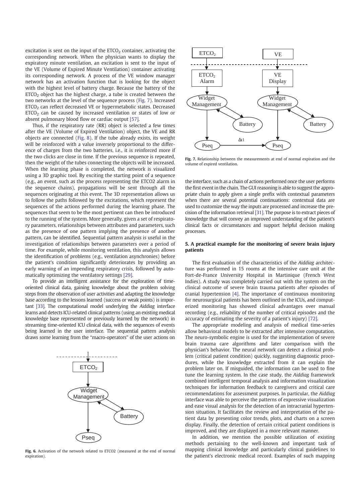excitation is sent on the input of the ETCO<sub>2</sub> container, activating the corresponding network. When the physician wants to display the expiratory minute ventilation, an excitation is sent to the input of the VE (Volume of Expired Minute Ventilation) container activating its corresponding network. A process of the VE window manager network has an activation function that is looking for the object with the highest level of battery charge. Because the battery of the  $ETCO<sub>2</sub>$  object has the highest charge, a tube is created between the two networks at the level of the sequence process (Fig. 7). Increased ETCO<sup>2</sup> can reflect decreased VE or hypermetabolic states. Decreased  $ETCO<sub>2</sub>$  can be caused by increased ventilation or states of low or absent pulmonary blood flow or cardiac output [57].

Thus, if the respiratory rate (RR) object is selected a few times after the VE (Volume of Expired Ventilation) object, the VE and RR objects are connected (Fig. 8). If the tube already exists, its weight will be reinforced with a value inversely proportional to the difference of charges from the two batteries, i.e., it is reinforced more if the two clicks are close in time. If the previous sequence is repeated, then the weight of the tubes connecting the objects will be increased. When the learning phase is completed, the network is visualized using a 3D graphic tool. By exciting the starting point of a sequence (e.g., an event, such as the process representing the ETCO2 alarm in the sequence chains), propagations will be sent through all the sequences originating at this event. The 3D representation allows us to follow the paths followed by the excitations, which represent the sequences of the actions performed during the learning phase. The sequences that seem to be the most pertinent can then be introduced to the running of the system. More generally, given a set of respiratory parameters, relationships between attributes and parameters, such as the presence of one pattern implying the presence of another pattern, can be identified. Sequential pattern analysis is useful in the investigation of relationships between parameters over a period of time. For example, while monitoring ventilation, this analysis allows the identification of problems (e.g., ventilation asynchronies) before the patient's condition significantly deteriorates by providing an early warning of an impending respiratory crisis, followed by automatically optimizing the ventilatory settings [29].

To provide an intelligent assistance for the exploration of timeoriented clinical data, gaining knowledge about the problem solving steps from the observation of user activities and adapting the knowledge base according to the lessons learned (success or weak points) is important [33]. The computational model underlying the *Aiddiag* interface learns and detects ICU-related clinical patterns (using an existing medical knowledge base represented or previously learned by the network) in streaming time-oriented ICU clinical data, with the sequences of events being learned in the user interface. The sequential pattern analysis draws some learning from the "macro-operators" of the user actions on



Fig. 6. Activation of the network related to ETCO2 (measured at the end of normal expiration).



Fig. 7. Relationship between the measurements at end of normal expiration and the volume of expired ventilation.

the interface, such as a chain of actions performed once the user performs the first event in the chain. The GUI reasoning is able to suggest the appropriate chain to apply given a single prefix with contextual parameters when there are several potential continuations: contextual data are used to customize the way the inputs are processed and increase the precision of the information retrieval [31]. The purpose is to extract pieces of knowledge that will convey an improved understanding of the patient's clinical facts or circumstances and support helpful decision making processes.

## 5. A practical example for the monitoring of severe brain injury patients

The first evaluation of the characteristics of the *Aiddiag* architecture was performed in 15 rooms at the intensive care unit at the Fort-de-France University Hospital in Martinique (French West Indies). A study was completely carried out with the system on the clinical outcome of severe brain trauma patients after episodes of cranial hypertension [4]. The importance of continuous monitoring for neurosurgical patients has been outlined in the ICUs, and computerized monitoring has showed clinical advantages over manual recording (e.g., reliability of the number of critical episodes and the accuracy of estimating the severity of a patient's injury) [72].

The appropriate modeling and analysis of medical time-series allow behavioral models to be extracted after intensive computation. The neuro-symbolic engine is used for the implementation of severe brain trauma care algorithms and later comparison with the physician's behavior. The neural network can detect a clinical problem (critical patient condition) quickly, suggesting diagnostic procedures, while the knowledge extracted from it can explain the problem later on. If misguided, the information can be used to fine tune the learning system. In the case study, the *Aiddiag* framework combined intelligent temporal analysis and information visualization techniques for information feedback to caregivers and critical care recommendations for assessment purposes. In particular, the *Aiddiag* interface was able to perceive the patterns of expressive visualization and ease visual analysis for the detection of an intracranial hypertension situation. It facilitates the review and interpretation of the patient data by presenting color trends, plots, and charts on a screen display. Finally, the detection of certain critical patient conditions is improved, and they are displayed in a more relevant manner.

In addition, we mention the possible utilization of existing methods pertaining to the well-known and important task of mapping clinical knowledge and particularly clinical guidelines to the patient's electronic medical record. Examples of such mapping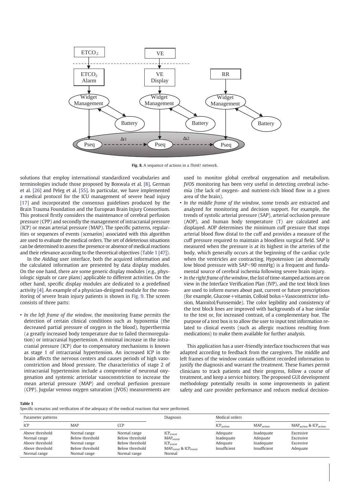

Fig. 8. A sequence of actions in a *Think*! network.

solutions that employ international standardized vocabularies and terminologies include those proposed by Boxwala et al. [8], German et al. [26] and Peleg et al. [55]. In particular, we have implemented a medical protocol for the ICU management of severe head injury [17] and incorporated the consensus guidelines produced by the Brain Trauma Foundation and the European Brain Injury Consortium. This protocol firstly considers the maintenance of cerebral perfusion pressure (CPP) and secondly the management of intracranial pressure (ICP) or mean arterial pressure (MAP). The specific patterns, regularities or sequences of events (scenarios) associated with this algorithm are used to evaluate the medical orders. The set of deleterious situations can be determined to assess the presence or absence of medical reactions and their relevance according to the theoretical objectives (Table 1 [47]).

In the *Aiddiag* user interface, both the acquired information and the calculated information are presented by data display modules. On the one hand, there are some generic display modules (e.g., physiologic signals or care plans) applicable to different activities. On the other hand, specific display modules are dedicated to a predefined activity [4]. An example of a physician-designed module for the monitoring of severe brain injury patients is shown in Fig. 9. The screen consists of three parts:

• *In the left frame of the window*, the monitoring frame permits the detection of certain clinical conditions such as hypoxemia (the decreased partial pressure of oxygen in the blood), hyperthermia (a greatly increased body temperature due to failed thermoregulation) or intracranial hypertension. A minimal increase in the intracranial pressure (ICP) due to compensatory mechanisms is known as stage 1 of intracranial hypertension. An increased ICP in the brain affects the nervous centers and causes periods of high vasoconstriction and blood pressure. The characteristics of stage 2 of intracranial hypertension include a compromise of neuronal oxygenation and systemic arteriolar vasoconstriction to increase the mean arterial pressure (MAP) and cerebral perfusion pressure (CPP). Jugular venous oxygen saturation (JVOS) measurements are

used to monitor global cerebral oxygenation and metabolism. JVOS monitoring has been very useful in detecting cerebral ischemia (the lack of oxygen- and nutrient-rich blood flow in a given area of the brain).

- *In the middle frame of the window*, some trends are extracted and analyzed for monitoring and decision support. For example, the trends of systolic arterial pressure (SAP), arterial occlusion pressure (AOP), and human body temperature (T) are calculated and displayed. AOP determines the minimum cuff pressure that stops arterial blood flow distal to the cuff and provides a measure of the cuff pressure required to maintain a bloodless surgical field. SAP is measured when the pressure is at its highest in the arteries of the body, which generally occurs at the beginning of the cardiac cycle when the ventricles are contracting. Hypotension (an abnormally low blood pressure with SAP<90 mmHg) is a frequent and fundamental source of cerebral ischemia following severe brain injury.
- *In the right frame of the window*, the list of time-stamped actions are on view in the Interface Verification Plan (IVP), and the text block lines are used to inform nurses about past, current or future prescriptions (for example, Glucose+vitamin, Colloid bolus+Vasoconstrictor infusion, Mannitol/Furosemide). The color legibility and consistency of the text block lines are improved with backgrounds of a hue similar to the text or, for increased contrast, of a complementary hue. The purpose of a text box is to allow the user to input text information related to clinical events (such as allergic reactions resulting from medications) to make them available for further analysis.

This application has a user-friendly interface touchscreen that was adapted according to feedback from the caregivers. The middle and left frames of the window contain sufficient recorded information to justify the diagnosis and warrant the treatment. These frames permit clinicians to track patients and their progress, follow a course of treatment, and keep a service history. The proposed GUI development methodology potentially results in some improvements in patient safety and care provider performance and reduces medical decision-

#### Table 1

Specific scenarios and verification of the adequacy of the medical reactions that were performed.

| Parameter patterns              |                                 |                                 | Diagnosis                               | Medical orders         |                        |                                 |
|---------------------------------|---------------------------------|---------------------------------|-----------------------------------------|------------------------|------------------------|---------------------------------|
| ICP                             | <b>MAP</b>                      | CCP                             |                                         | $ICP_{action}$         | $MAP_{action}$         | $MAP_{action}$ & $ICP_{action}$ |
| Above threshold<br>Normal range | Normal range<br>Below threshold | Normal range<br>Below threshold | $ICP_{event}$                           | Adequate<br>Inadequate | Inadequate<br>Adequate | Excessive<br>Excessive          |
| Above threshold                 | Normal range                    | Below threshold                 | $MAP_{\text{event}}$<br>$ICP_{event}$   | Adequate               | Inadequate             | Excessive                       |
| Above threshold<br>Normal range | Below threshold<br>Normal range | Below threshold<br>Normal range | $MAP_{event}$ & $ICP_{event}$<br>Normal | Insufficient           | Insufficient           | Adequate                        |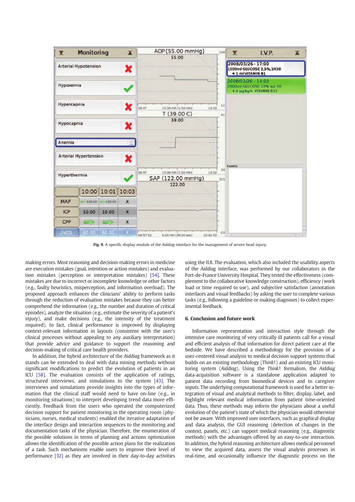

Fig. 9. A specific display module of the *Aiddiag* interface for the management of severe head injury.

making errors. Most reasoning and decision-making errors in medicine are execution mistakes (goal, intention or action mistakes) and evaluation mistakes (perception or interpretation mistakes) [54]. These mistakes are due to incorrect or incomplete knowledge or other factors (e.g., faulty heuristics, misperception, and information overload). The proposed approach enhances the clinicians' ability to perform tasks through the reduction of evaluation mistakes because they can better comprehend the information (e.g., the number and duration of critical episodes), analyze the situation (e.g., estimate the severity of a patient's injury), and make decisions (e.g., the intensity of the treatment required). In fact, clinical performance is improved by displaying context-relevant information in layouts (consistent with the user's clinical processes without appealing to any auxiliary interpretation) that provide advice and guidance to support the reasoning and decision-making of critical care health providers.

In addition, the hybrid architecture of the *Aiddiag* framework as it stands can be extended to deal with data mining methods without significant modifications to predict the evolution of patients in an ICU [58]. The evaluation consists of the application of ratings, structured interviews, and simulations to the system [43]. The interviews and simulations provide insights into the types of information that the clinical staff would need to have on-line (e.g., in monitoring situations) to interpret developing trend data more efficiently. Feedback from the users who operated the computerized decision support for patient monitoring in the operating room (physicians, nurses, medical students) enabled the iterative adaptation of the interface design and interaction sequences to the monitoring and documentation tasks of the physician. Therefore, the enumeration of the possible solutions in terms of planning and actions optimization allows the identification of the possible action plans for the realization of a task. Such mechanisms enable users to improve their level of performance [32] as they are involved in their day-to-day activities

using the IUI. The evaluation, which also included the usability aspects of the *Aiddiag* interface, was performed by our collaborators in the Fort-de-France University Hospital. They tested the effectiveness (complement to the collaborative knowledge construction), efficiency (work load or time required to use), and subjective satisfaction (annotation interfaces and visual feedbacks) by asking the user to complete various tasks (e.g., following a guideline or making diagnoses) to collect experimental feedback.

## 6. Conclusion and future work

Information representation and interaction style through the intensive care monitoring of very critically ill patients call for a visual and efficient analysis of that information for direct patient care at the bedside. We have described a methodology for the provision of a user-centered visual analysis to medical decision support systems that builds on an existing methodology (*Think*!) and an existing ICU monitoring system (*Aiddiag*). Using the *Think*! formalism, the *Aiddiag* data-acquisition software is a standalone application adapted to patient data recording from biomedical devices and to caregiver inputs. The underlying computational framework is used for a better integration of visual and analytical methods to filter, display, label, and highlight relevant medical information from patient time-oriented data. Thus, these methods may inform the physicians about a useful evolution of the patient's state of which the physician would otherwise not be aware. With improved user interfaces, such as graphical display and data analysis, the GUI reasoning (detection of changes in the context, panels, etc.) can support medical reasoning (e.g., diagnostic methods) with the advantages offered by an easy-to-use interaction. In addition, the hybrid reasoning architecture allows medical personnel to view the acquired data, assess the visual analysis processes in real-time, and occasionally influence the diagnostic process on the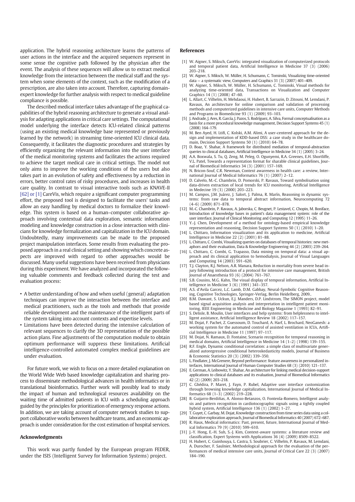application. The hybrid reasoning architecture learns the patterns of user actions in the interface and the acquired sequences represent in some sense the cognitive path followed by the physician after the event. The analysis of these sequences will allow us to extract medical knowledge from the interaction between the medical staff and the system when some elements of the context, such as the modification of a prescription, are also taken into account. Therefore, capturing domainexpert knowledge for further analysis with respect to medical guideline compliance is possible.

The described medical interface takes advantage of the graphical capabilities of the hybrid reasoning architecture to generate a visual analysis for adapting applications in critical care settings. The computational model underlying the interface detects ICU-related clinical patterns (using an existing medical knowledge base represented or previously learned by the network) in streaming time-oriented ICU clinical data. Consequently, it facilitates the diagnostic procedures and strategies by efficiently organizing the relevant information into the user interface of the medical monitoring systems and facilitates the actions required to achieve the target medical care in critical settings. The model not only aims to improve the working conditions of the users but also takes part in an evolution of safety and effectiveness by a reduction in errors, better control rates of risky procedures, and increases in health care quality. In contrast to visual interactive tools such as KNAVE-II [62] or [1] CareVis, which require a significant computer programming effort, the proposed tool is designed to facilitate the users' tasks and allow an easy handling by medical doctors to formalize their knowledge. This system is based on a human–computer collaborative approach involving contextual data exploration, semantic information modeling and knowledge construction in a close interaction with clinicians for knowledge formalization and capitalization in the ICU domain. Undoubtedly, many improvements can be made to the proposed project manipulation interfaces. Some results from evaluating the proposed approach in a real clinical setting and showing which concrete aspects are improved with regard to other approaches would be discussed. Many useful suggestions have been received from physicians during this experiment. We have analyzed and incorporated the following valuable comments and feedback collected during the test and evaluation process:

- A better understanding of how and when useful (general) adaptation techniques can improve the interaction between the interface and medical practitioners, such as the tools and methods that provide reliable development and the maintenance of the intelligent parts of the system taking into account contexts and expertise levels.
- Limitations have been detected during the intensive calculation of relevant sequences to clarify the 3D representation of the possible action plans. Fine adjustments of the computation module to obtain optimum performance will suppress these limitations. Artificial intelligence-controlled automated complex medical guidelines are under evaluation.

For future work, we wish to focus on a more detailed explanation on the World Wide Web based knowledge capitalization and sharing process to disseminate methodological advances in health informatics or in translational bioinformatics. Further work will possibly lead to study the impact of human and technological resources availability on the waiting time of admitted patients in ICU with a scheduling approach guided by the principles for prioritization of emergency response actions. In addition, we are taking account of computer network studies to support collaborative works between healthcare teams, and an economic approach is under consideration for the cost estimation of hospital services.

#### Acknowledgments

This work was partly funded by the European program FEDER, under the ISIS (Intelligent Survey for Information Systems) project.

#### References

- [1] W. Aigner, S. Miksch, CareVis: integrated visualization of computerized protocols and temporal patient data, Artificial Intelligence in Medicine 37 (3) (2006) 203–218.
- [2] W. Aigner, S. Miksch, W. Müller, H. Schumann, C. Tominski, Visualizing time-oriented data — a systematic view, Computers and Graphics 31 (3) (2007) 401–409.
- [3] W. Aigner, S. Miksch, W. Müller, H. Schumann, C. Tominski, Visual methods for analyzing time-oriented data, Transactions on Visualization and Computer Graphics 14 (1) (2008) 47–60.
- [4] L. Allart, C. Vilhelm, H. Mehdaoui, H. Hubert, B. Sarrazin, D. Zitouni, M. Lemdani, P. Ravaux, An architecture for online comparison and validation of processing methods and computerized guidelines in intensive care units, Computer Methods and Programs in Biomedicine 93 (1) (2009) 93–103.
- [5] J. Andrade, J. Ares, R. García, J. Pazos, S. Rodríguez, A. Silva, Formal conceptualisation as a basis for a more procedural knowledge management, Decision Support Systems 45 (1) (2008) 164–179.
- [6] M. Ben Ayed, H. Ltifi, C. Kolski, A.M. Alimi, A user-centered approach for the design and implementation of KDD-based DSS: a case study in the healthcare domain, Decision Support Systems 50 (1) (2010) 64–78.
- [7] D. Boaz, Y. Shahar, A framework for distributed mediation of temporal-abstraction queries to clinical databases, Artificial Intelligence in Medicine 34 (1) (2005) 3–24.
- [8] A.A. Boxwala, S. Tu, Q. Zeng, M. Peleg, O. Ogunyemi, R.A. Greenes, E.H. Shortliffe, V.L. Patel, Towards a representation format for sharable clinical guidelines, Journal of Biomedical Informatics 34 (3) (2001) 157–169.
- [9] N. Bricon-Souf, C.R. Newman, Context awareness in health care: a review, International Journal of Medical Informatics 76 (1) (2007) 2–12.
- [10] D. Calvelo, M.-C. Chambrin, D. Pomorski, P. Ravaux, Toward symbolisation using data-driven extraction of local trends for ICU monitoring, Artificial Intelligence in Medecine 19 (3) (2000) 203–223.
- [11] M. Campos, J.M. Juárez, J. Salort, J. Palma, R. Marín, Reasoning in dynamic systems: from raw data to temporal abstract information, Neurocomputing 72 (4–6) (2009) 871–878.
- [12] M.-C. Chambrin, P. Ravaux, A. Jaborska, C. Beugnet, P. Lestavel, C. Chopin, M. Boniface, Introduction of knowledge bases in patient's data management system: role of the user interface, Journal of Clinical Monitoring and Computing 12 (1995) 11–26.
- [13] Y.-J. Chen, Development of a method for ontology-based empirical knowledge representation and reasoning, Decision Support Systems 50 (1) (2010) 1–20.
- [14] L. Chittaro, Information visualization and its application to medicine, Artificial Intelligence in Medicine 22 (2) (2001) 81–88.
- [15] L. Chittaro, C. Combi, Visualizing queries on databases of temporal histories: new metaphors and their evaluation, Data & Knowledge Engineering 44 (2) (2003) 239–264.
- [16] L. Chittaro, C. Combi, G. Trapasso, Data mining on temporal data: a visual approach and its clinical application to hemodialysis, Journal of Visual Languages and Computing 14 (2003) 591–620.
- [17] T.J. Clayton, R.J. Nelson, A.R. Manara, Reduction in mortality from severe head injury following introduction of a protocol for intensive care management, British Journal of Anaesthesia 93 (6) (2004) 761–767.
- [18] S.B. Cousins, M.G. Kahn, The visual display of temporal information, Artificial Intelligence in Medicine 3 (6) (1991) 341–357.
- [19] A.S. d'Avila Garcez, L.C. Lamb, D.M. Gabbay, Neural-Symbolic Cognitive Reasoning, Cognitive Technologies, Springer-Verlag, Berlin Heidelberg, 2009..
- [20] B.M. Dawant, S. Uckun, E.J. Manders, D.P. Lindstrom, The SIMON project, model based signal acquisition analysis and interpretation in intelligent patient monitoring, IEEE Engineering in Medicine and Biology Magazine 1 (1993) 82–91.
- [21] S. Delisle, B. Moulin, User interfaces and help systems: from helplessness to intelligent assistance, Artificial Intelligence Review 18 (2002) 117–157.
- [22] M. Dojat, F. Pachet, Z. Guessoum, D. Touchard, A. Harf, L. Brochard, NeoGanesh: a working system for the automated control of assisted ventilation in ICUs, Artificial Intelligence in Medicine 11 (1997) 97–117.
- [23] M. Dojat, N. Ramaux, D. Fontaine, Scenario recognition for temporal reasoning in medical domains, Artificial Intelligence in Medicine 14 (1–2) (1998) 139–155.
- [24] R.F. Engle, Dynamic conditional correlation: a simple class of multivariate generalized autoregressive conditional heteroskedasticity models, Journal of Business & Economic Statistics 20 (3) (2002) 339–350.
- [25] L. Findlater, J. McGrenere, Beyond performance: feature awareness in personalized interfaces, International Journal of Human Computer Studies 68 (3) (2010) 121–137.
- [26] E. German, A. Leibowitz, Y. Shahar, An architecture for linking medical decision-support applications to clinical databases and its evaluation, Journal of Biomedical Informatics 42 (2) (2009) 203–218.
- [27] C. Ghédira, P. Maret, J. Fayn, P. Rubel, Adaptive user interface customization through browsing knowledge capitalization, International Journal of Medical Informatics 68 (1–3) (2002) 219–228.
- [28] B. Guijarro-Berdiñas, A. Alonso-Betanzos, O. Fontenla-Romero, Intelligent analysis and pattern recognition in cardiotocographic signals using a tightly coupled hybrid system, Artificial Intelligence 136 (1) (2002) 1–27.
- [29] T. Guyet, C. Garbay, M. Dojat, Knowledge construction from time series data using a collaborative exploration approach, Journal of Biomedical Informatics 40 (2007) 672–687.
- [30] R. Haux, Medical informatics: Past, present, future, International Journal of Medical Informatics 79 (9) (2010) 599–610.
- [31] J.-Y. Hong, E.-H. Suh, S.-J. Kim, Context-aware systems: a literature review and classification, Expert Systems with Applications 36 (4) (2009) 8509–8522.
- [32] H. Hubert, C. Guinhouya, L. Castra, S. Soubrier, C. Vilhelm, P. Ravaux, M. Lemdani, A. Durocher, F. Saulnier, Methodological approach for the evaluation of the performances of medical intensive care units, Journal of Critical Care 22 (3) (2007) 184–190.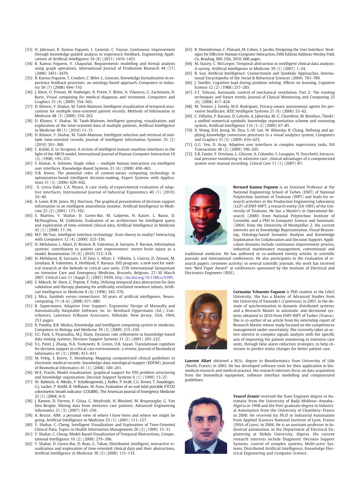- [33] H. Jabrouni, B. Kamsu Foguem, L. Geneste, C. Vaysse, Continuous improvement through knowledge-guided analysis in experience feedback, Engineering Appli-cations of Artificial Intelligence 24 (8) (2011) 1419–1431.
- [34] B. Kamsu Foguem, V. Chapurlat, Requirements modelling and formal analysis using graph operations, International Journal of Production Research 44 (17) (2006) 3451–3470.
- [35] B. Kamsu Foguem, T. Coudert, C. Béler, L. Geneste, Knowledge formalization in experience feedback processes: an ontology-based approach, Computers in Industry 59 (7) (2008) 694–710.
- [36] J. Klein, O. Friman, M. Hadwiger, B. Preim, F. Ritter, A. Vilanova, G. Zachmann, D. Bartz, Visual computing for medical diagnosis and treatment, Computers and Graphics 33 (4) (2009) 554–565.
- [37] D. Klimov, Y. Shahar, M. Taieb-Maimon, Intelligent visualization of temporal associations for multiple time-oriented patient records, Methods of Information in Medicine 48 (3) (2009) 254–262.
- [38] D. Klimov, Y. Shahar, M. Taieb-Maimon, Intelligent querying, visualization, and exploration of the time-oriented data of multiple patients, Artificial Intelligence in Medicine 49 (1) (2010) 11–31.
- [39] D. Klimov, Y. Shahar, M. Taieb-Maimon, Intelligent selection and retrieval of multiple time-oriented records, Journal of Intelligent Information Systems 35 (2) (2010) 261–300.
- [40] C. Kolski, E. Le Strugeon, A review of intelligent human-machine interfaces in the light of the ARCH model, International Journal of Human Computer Interaction 10 (3) (1998) 193–231.
- [41] S. Kumar, A. Sekmen, Single robot multiple human interaction via intelligent user interfaces, Knowledge-Based Systems 21 (6) (2008) 458–465.
- [42] O.B. Kwon, The potential roles of context-aware computing technology in optimization-based intelligent decision-making, Expert Systems with Applications 31 (3) (2006) 629–642.
- [43] . E. Letsu-Dake, C.A. Ntuen, A case study of experimental evaluation of adaptive interfaces, International Journal of Industrial Ergonomics 40 (1) (2010) 34–40.
- [44] A. Lowe, R.W. Jones, M.J. Harrison, The graphical presentation of decision support information in an intelligent anaesthesia monitor, Artificial Intelligence in Medicine 22 (2) (2001) 173–192.
- [45] S. Martins, Y. Shahar, D. Goren-Bar, M. Galperin, H. Kaizer, L. Basso, D. McNaughton, M. Goldstein, Evaluation of an architecture for intelligent query and exploration of time-oriented clinical data, Artificial Intelligence in Medicine 43 (1) (2008) 17–34.
- [46] M.F. McTear, Intelligent interface technology: from theory to reality? Interacting with Computers 12 (4) (2000) 323–336.
- [47] H. Mehdaoui, L. Allart, D. Resiere, R. Valentino, B. Sarrazin, P. Ravaux, Information systems' contribution to patient care improvement: severe brain injury as a model, Reanimation 19 (6) (2010) 512–518.
- [48] H. Mehdaoui, B. Sarrazin, I. El Zein, L. Allart, C. Vilhelm, S. Guerra, D. Zitouni, M. Lemdani, R. Valentino, A. Herbland, P. Ravaux. ISIS program: a new tool for medical research at the bedside in critical care units. 27th International Symposium on Intensive Care and Emergency Medicine, Brussels, Belgium, 27–30 March 2007. Critical Care 11 (Suppl 2) (2007) P439, http://dx.doi.org/10.1186/cc5599.
- [49] S. Miksch, W. Horn, C. Popow, F. Paky, Utilizing temporal data abstraction for data validation and therapy planning for artificially ventilated newborn infants, Artificial Intelligence in Medicine 8 (6) (1996) 543–576.
- [50] J. Mira, Symbols versus connections: 50 years of artificial intelligence, Neurocomputing 71 (4–6) (2008) 671–680.
- R. Oppermann, Adaptive User Support: Ergonomic Design of Manually and Automatically Adaptable Software, In: in: Reinhard Oppermann (Ed.), Contributors, Lawrence Erlbaum Associates, Hillsdale, New Jersey, USA, 1994, 253 pages
- [52] B. Pandey, R.B. Mishra, Knowledge and intelligent computing system in medicine, Computers in Biology and Medicine 39 (3) (2009) 215–230.
- [53] S.C. Park, S. Piramuthu, M.J. Shaw, Dynamic rule refinement in knowledge-based data mining systems, Decision Support Systems 31 (2) (2001) 205–222.
- [54] V.L. Patel, J. Zhang, N.A. Yoskowitz, R. Green, O.R. Sayan, Translational cognition for decision support in critical care environments: a review, Journal of Biomedical Informatics 41 (3) (2008) 413–431.
- [55] M. Peleg, S. Keren, Y. Denekamp, Mapping computerized clinical guidelines to electronic medical records: knowledge-data ontological mapper (KDOM), Journal of Biomedical Informatics 41 (1) (2008) 180–201.
- [56] W.E. Pracht, Model visualization: graphical support for DSS problem structuring and knowledge organization, Decision Support Systems 6 (1) (1990) 13–27.
- [57] W. Rabitsch, A. Nikolic, P. Schellongowski, J. Kofler, P. Kraft, C.G. Krenn, T. Staudinger, G.J. Locker, P. Knöbl, R. Hofbauer, M. Frass, Evaluation of an end-tidal portable ETCO2 colorimetric breath indicator (COLIBRI), The American Journal of Emergency Medicine 22 (1) (2004) 4–9.
- [58] J. Ramon, D. Fierens, F. Güiza, G. Meyfroidt, H. Blockeel, M. Bruynooghe, G. Van Den Berghe, Mining data from intensive care patients, Advanced Engineering Informatics 21 (3) (2007) 243–256.
- [59] A. Rector, AIM: a personal view of where I have been and where we might be going, Artificial Intelligence in Medicine 23 (1) (2001) 111–127. [60] Y. Shahar, C. Cheng, Intelligent Visualization and Exploration of Time-Oriented
- Clinical Data, Topics in Health Information Management 20 (2) (1999) 15–31.
- [61] Y. Shahar, C. Cheng, Model-Based Visualization of Temporal Abstractions, Computational Intelligence 16 (2) (2000) 279–306.
- [62] Y. Shahar, D. Goren-Bar, D. Boaz, G. Tahan, Distributed, intelligent, interactive visualization and exploration of time-oriented clinical data and their abstractions, Artificial Intelligence in Medicine 38 (2) (2006) 115–135.
- [63] B. Shneiderman, C. Plaisant, M. Cohen, S. Jacobs, Designing the User Interface: Strategies for Effective Human-Computer Interaction, Fifth Edition Addison-Wesley Publ. Co, Reading, MA, USA, 2010. 606 pages.
- [64] M. Stacey, C. McGregor, Temporal abstraction in intelligent clinical data analysis: A survey, Artificial Intelligence in Medicine 39 (1) (2007) 1–24.
- [65] R. Sun, Artificial Intelligence: Connectionist and Symbolic Approaches, International Encyclopedia of the Social & Behavioral Sciences (2004) 783–789.
- [66] J. Sweller, Cognitive load during problem solving: Effects on learning, Cognitive Science 12 (2) (1988) 257–285.
- [67] F.T. Tehrani, Automatic control of mechanical ventilation. Part 2: The existing techniques and future trends, Journal of Clinical Monitoring and Computing 22 (6) (2008) 417–424.
- [68] M. Tentori, J. Favela, M.D. Rodriguez, Privacy-aware autonomous agents for pervasive healthcare, IEEE Intelligent Systems 21 (6) (2006) 55–62.
- [69] C. Vilhelm, P. Ravaux, D. Calvelo, A. Jaborska, M.-C. Chambrin, M. Boniface, Think!: a unified numerical-symbolic knowledge representation scheme and reasoning system, Artificial Intelligence 116 (1–2) (2000) 67–85.
- X. Wang, D.H. Jeong, W. Dou, S.-W. Lee, W. Ribarsky, R. Chang, Defining and applying knowledge conversion processes to a visual analytics system, Computers and Graphics 33 (5) (2009) 616–623.
- [71] G.G. Yen, D. Acay, Adaptive user interfaces in complex supervisory tasks, ISA Transactions 48 (2) (2009) 196–205.
- [72] E.R. Zanier, F. Ortolano, L. Ghisoni, A. Colombo, S. Losappio, N. Stocchetti, Intracranial pressure monitoring in intensive care: clinical advantages of a computerized system over manual recording, Critical Care 11 (1) (2007) R7.



Bernard Kamsu Foguem is an Assistant Professor at the National Engineering School of Tarbes (ENIT) of National Polytechnic Institute of Toulouse (INPT) and leads his research activities in the Production Engineering Laboratory (LGP) of ENIT-INPT, a research entity (EA 1905) of the University of Toulouse. He has a Master's in Operational Research (2000) from National Polytechnic Institute of Grenoble, and a PhD in Computer Science and Automatic (2004) from the University of Montpellier 2. His current interests are in Knowledge Representation, Visual Reasoning, Ontology-based Semantic Analysis and Knowledge Exploitation for Collaboration and Decision Support. Application domains include continuous improvement process, industrial maintenance management, conventional and

traditional medicine. He has authored or co-authored twenty articles in scientific journals and international conferences. He also participates in the evaluation of research papers (reviewer activity) in several scientific journals. His work has received two "Best Paper Award" at conferences sponsored by the Institute of Electrical and Electronics Engineers (IEEE).



Germaine Tchuente Foguem is PhD student at the Lille2 University. She has a Master of Advanced Studies from the University of Yaounde I (Cameroon) in 2007, in the domain of synchronization in dynamic distributed systems, and a Research Master in automatic and decisional systems obtained in 2010 from ENIT-INPT of Tarbes (France). She is co-author of an article from his internship report of Research Master whose study focused on the competences management under uncertainty. She currently takes an active interest in complex signals analysis with the specific aim of improving the patient monitoring in intensive care units, through false alarm reduction strategies, to help clinicians to predict status changes for better patient care.

Laurent Allart obtained a M.Sc. degree in Bioinformatics from University of Lille (North, France) in 2003. He has developed software tools for their application in biomedical research and medical practice. His research interests focus on data acquisition from the biomedical equipment, software interface modelling and computerized guidelines.



Youcef Zennir received the State Engineer degree in Automatic from the University of Badji Mokhtar–Annaba– Algeria in 1998 and the Post-graduate degree in Industrial Automation from the University of Chambery–France in 2000. He received his Ph.D in Industrial Automation from Applied Sciences National Institute of Lyon, France (INSA of Lyon) in 2004. He is an assistant professor in Industrial automation, in the Department of Electrical Engineering at Skikda University, Algeria. His current research interests include Diagnostic Decision Support Systems, control of complex systems, Multi-actor Systems, Distributed Artificial Intelligence, Knowledge Electrical Engineering and Computer Science.